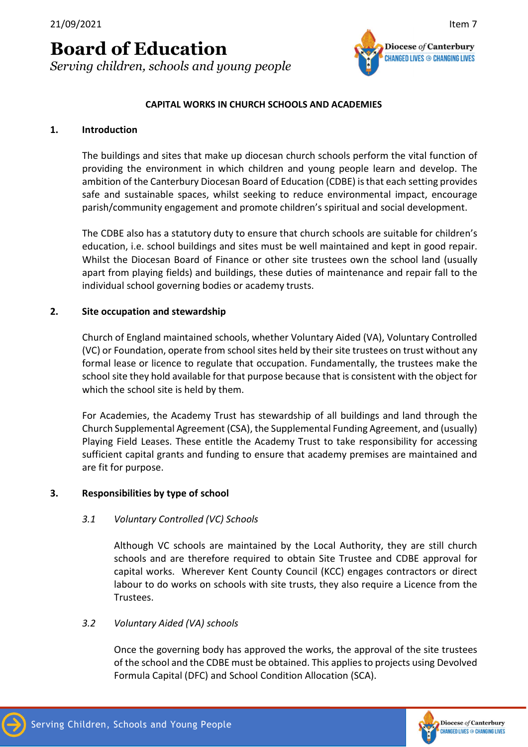21/09/2021 Item 7

# Board of Education

Serving children, schools and young people



#### CAPITAL WORKS IN CHURCH SCHOOLS AND ACADEMIES

#### 1. Introduction

The buildings and sites that make up diocesan church schools perform the vital function of providing the environment in which children and young people learn and develop. The ambition of the Canterbury Diocesan Board of Education (CDBE) is that each setting provides safe and sustainable spaces, whilst seeking to reduce environmental impact, encourage parish/community engagement and promote children's spiritual and social development.

The CDBE also has a statutory duty to ensure that church schools are suitable for children's education, i.e. school buildings and sites must be well maintained and kept in good repair. Whilst the Diocesan Board of Finance or other site trustees own the school land (usually apart from playing fields) and buildings, these duties of maintenance and repair fall to the individual school governing bodies or academy trusts.

#### 2. Site occupation and stewardship

Church of England maintained schools, whether Voluntary Aided (VA), Voluntary Controlled (VC) or Foundation, operate from school sites held by their site trustees on trust without any formal lease or licence to regulate that occupation. Fundamentally, the trustees make the school site they hold available for that purpose because that is consistent with the object for which the school site is held by them.

For Academies, the Academy Trust has stewardship of all buildings and land through the Church Supplemental Agreement (CSA), the Supplemental Funding Agreement, and (usually) Playing Field Leases. These entitle the Academy Trust to take responsibility for accessing sufficient capital grants and funding to ensure that academy premises are maintained and are fit for purpose.

#### 3. Responsibilities by type of school

#### 3.1 Voluntary Controlled (VC) Schools

Although VC schools are maintained by the Local Authority, they are still church schools and are therefore required to obtain Site Trustee and CDBE approval for capital works. Wherever Kent County Council (KCC) engages contractors or direct labour to do works on schools with site trusts, they also require a Licence from the Trustees.

#### 3.2 Voluntary Aided (VA) schools

Once the governing body has approved the works, the approval of the site trustees of the school and the CDBE must be obtained. This applies to projects using Devolved Formula Capital (DFC) and School Condition Allocation (SCA).

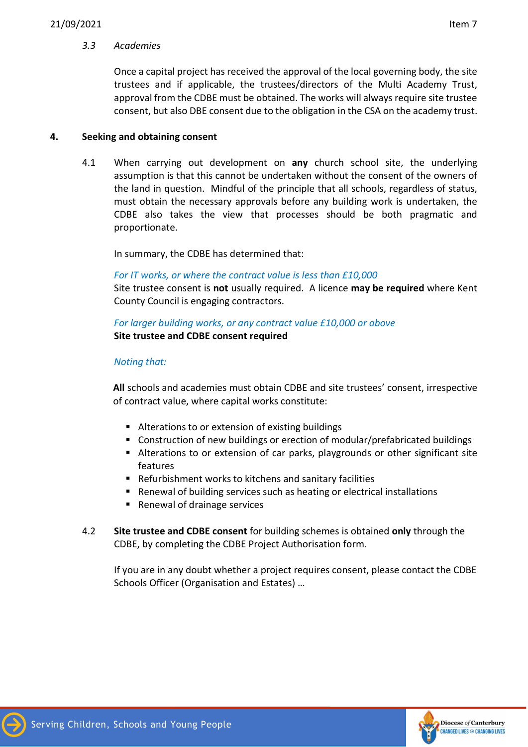## 3.3 Academies

Once a capital project has received the approval of the local governing body, the site trustees and if applicable, the trustees/directors of the Multi Academy Trust, approval from the CDBE must be obtained. The works will always require site trustee consent, but also DBE consent due to the obligation in the CSA on the academy trust.

## 4. Seeking and obtaining consent

4.1 When carrying out development on any church school site, the underlying assumption is that this cannot be undertaken without the consent of the owners of the land in question. Mindful of the principle that all schools, regardless of status, must obtain the necessary approvals before any building work is undertaken, the CDBE also takes the view that processes should be both pragmatic and proportionate.

In summary, the CDBE has determined that:

## For IT works, or where the contract value is less than £10,000

Site trustee consent is not usually required. A licence may be required where Kent County Council is engaging contractors.

## For larger building works, or any contract value £10,000 or above Site trustee and CDBE consent required

## Noting that:

All schools and academies must obtain CDBE and site trustees' consent, irrespective of contract value, where capital works constitute:

- Alterations to or extension of existing buildings
- Construction of new buildings or erection of modular/prefabricated buildings
- Alterations to or extension of car parks, playgrounds or other significant site features
- Refurbishment works to kitchens and sanitary facilities
- Renewal of building services such as heating or electrical installations
- Renewal of drainage services
- 4.2 Site trustee and CDBE consent for building schemes is obtained only through the CDBE, by completing the CDBE Project Authorisation form.

If you are in any doubt whether a project requires consent, please contact the CDBE Schools Officer (Organisation and Estates) …

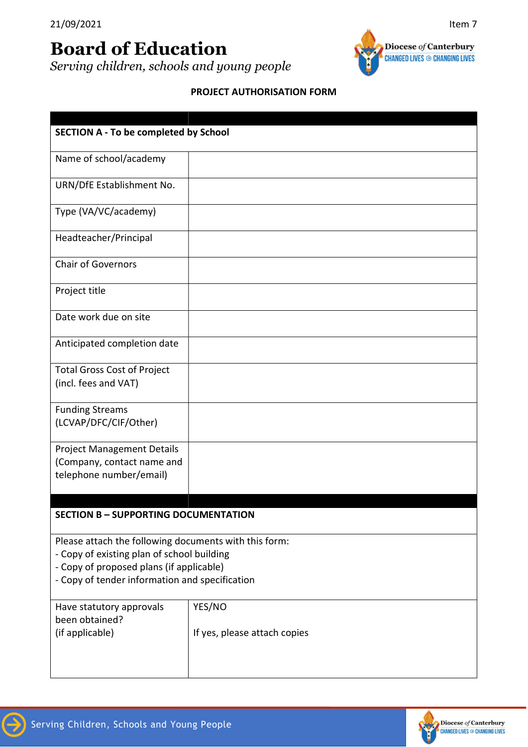# Board of Education

Serving children, schools and young people



## PROJECT AUTHORISATION FORM

| <b>SECTION A - To be completed by School</b>                                                                                                                                                      |                                        |  |
|---------------------------------------------------------------------------------------------------------------------------------------------------------------------------------------------------|----------------------------------------|--|
| Name of school/academy                                                                                                                                                                            |                                        |  |
| URN/DfE Establishment No.                                                                                                                                                                         |                                        |  |
| Type (VA/VC/academy)                                                                                                                                                                              |                                        |  |
| Headteacher/Principal                                                                                                                                                                             |                                        |  |
| <b>Chair of Governors</b>                                                                                                                                                                         |                                        |  |
| Project title                                                                                                                                                                                     |                                        |  |
| Date work due on site                                                                                                                                                                             |                                        |  |
| Anticipated completion date                                                                                                                                                                       |                                        |  |
| <b>Total Gross Cost of Project</b><br>(incl. fees and VAT)                                                                                                                                        |                                        |  |
| <b>Funding Streams</b><br>(LCVAP/DFC/CIF/Other)                                                                                                                                                   |                                        |  |
| <b>Project Management Details</b><br>(Company, contact name and<br>telephone number/email)                                                                                                        |                                        |  |
| <b>SECTION B - SUPPORTING DOCUMENTATION</b>                                                                                                                                                       |                                        |  |
| Please attach the following documents with this form:<br>- Copy of existing plan of school building<br>- Copy of proposed plans (if applicable)<br>- Copy of tender information and specification |                                        |  |
| Have statutory approvals<br>been obtained?<br>(if applicable)                                                                                                                                     | YES/NO<br>If yes, please attach copies |  |

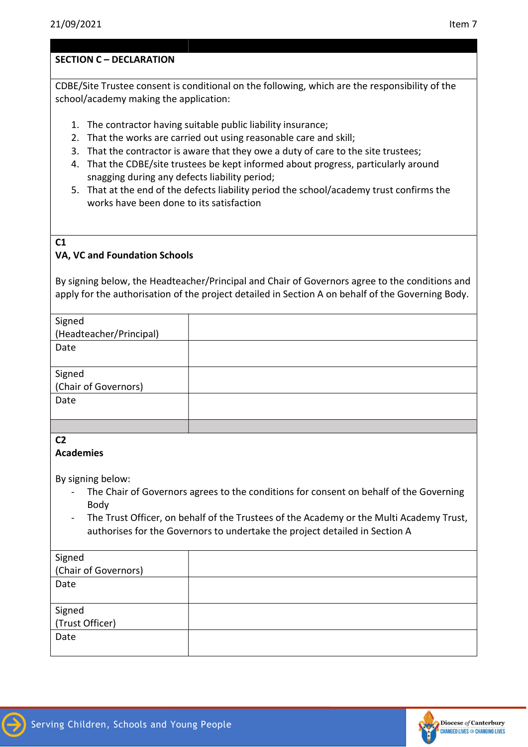CDBE/Site Trustee consent is conditional on the following, which are the responsibility of the school/academy making the application:

- 1. The contractor having suitable public liability insurance;
- 2. That the works are carried out using reasonable care and skill;
- 3. That the contractor is aware that they owe a duty of care to the site trustees;
- 4. That the CDBE/site trustees be kept informed about progress, particularly around snagging during any defects liability period;
- 5. That at the end of the defects liability period the school/academy trust confirms the works have been done to its satisfaction
- C1

## VA, VC and Foundation Schools

By signing below, the Headteacher/Principal and Chair of Governors agree to the conditions and apply for the authorisation of the project detailed in Section A on behalf of the Governing Body.

| Signed                         |  |
|--------------------------------|--|
| (Headteacher/Principal)        |  |
| Date                           |  |
|                                |  |
|                                |  |
| Signed<br>(Chair of Governors) |  |
| Date                           |  |
|                                |  |
|                                |  |

C2

## Academies

By signing below:

- The Chair of Governors agrees to the conditions for consent on behalf of the Governing Body
- The Trust Officer, on behalf of the Trustees of the Academy or the Multi Academy Trust, authorises for the Governors to undertake the project detailed in Section A

| Signed<br>(Chair of Governors) |  |
|--------------------------------|--|
| Date                           |  |
|                                |  |
|                                |  |
| Signed<br>(Trust Officer)      |  |
| Date                           |  |
|                                |  |